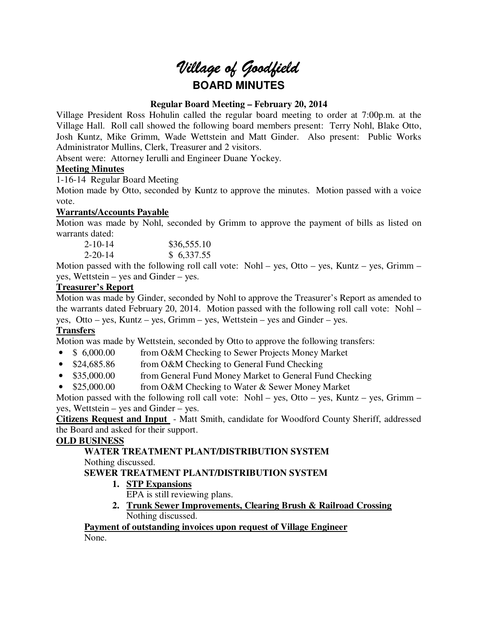# *Village of Goodfield* **BOARD MINUTES**

# **Regular Board Meeting – February 20, 2014**

Village President Ross Hohulin called the regular board meeting to order at 7:00p.m. at the Village Hall. Roll call showed the following board members present: Terry Nohl, Blake Otto, Josh Kuntz, Mike Grimm, Wade Wettstein and Matt Ginder. Also present: Public Works Administrator Mullins, Clerk, Treasurer and 2 visitors.

Absent were: Attorney Ierulli and Engineer Duane Yockey.

# **Meeting Minutes**

1-16-14 Regular Board Meeting

Motion made by Otto, seconded by Kuntz to approve the minutes. Motion passed with a voice vote.

# **Warrants/Accounts Payable**

Motion was made by Nohl, seconded by Grimm to approve the payment of bills as listed on warrants dated:

| $2 - 10 - 14$ | \$36,555.10 |
|---------------|-------------|
| $2 - 20 - 14$ | \$ 6,337.55 |

Motion passed with the following roll call vote: Nohl – yes, Otto – yes, Kuntz – yes, Grimm – yes, Wettstein – yes and Ginder – yes.

# **Treasurer's Report**

Motion was made by Ginder, seconded by Nohl to approve the Treasurer's Report as amended to the warrants dated February 20, 2014. Motion passed with the following roll call vote: Nohl – yes, Otto – yes, Kuntz – yes, Grimm – yes, Wettstein – yes and Ginder – yes.

# **Transfers**

Motion was made by Wettstein, seconded by Otto to approve the following transfers:

- \$ 6,000.00 from O&M Checking to Sewer Projects Money Market
- \$24,685.86 from O&M Checking to General Fund Checking
- \$35,000.00 from General Fund Money Market to General Fund Checking
- \$25,000.00 from O&M Checking to Water & Sewer Money Market

Motion passed with the following roll call vote: Nohl – yes, Otto – yes, Kuntz – yes, Grimm – yes, Wettstein – yes and Ginder – yes.

**Citizens Request and Input** - Matt Smith, candidate for Woodford County Sheriff, addressed the Board and asked for their support.

### **OLD BUSINESS**

# **WATER TREATMENT PLANT/DISTRIBUTION SYSTEM**

Nothing discussed.

# **SEWER TREATMENT PLANT/DISTRIBUTION SYSTEM**

**1. STP Expansions** 

EPA is still reviewing plans.

**2. Trunk Sewer Improvements, Clearing Brush & Railroad Crossing**  Nothing discussed.

**Payment of outstanding invoices upon request of Village Engineer**  None.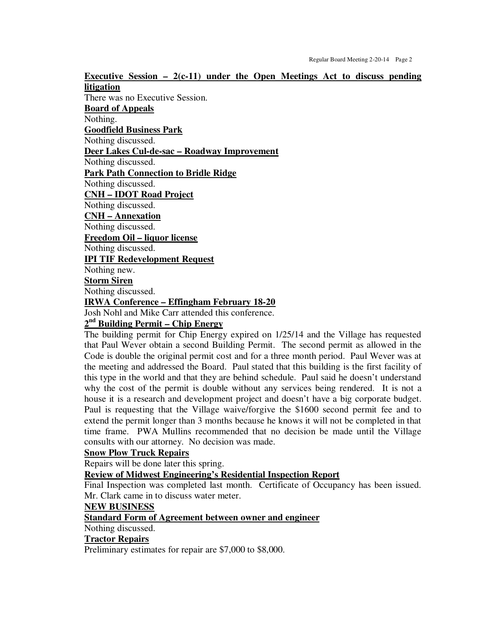**Executive Session – 2(c-11) under the Open Meetings Act to discuss pending litigation**  There was no Executive Session. **Board of Appeals**  Nothing. **Goodfield Business Park**  Nothing discussed. **Deer Lakes Cul-de-sac – Roadway Improvement**  Nothing discussed. **Park Path Connection to Bridle Ridge**  Nothing discussed. **CNH – IDOT Road Project**  Nothing discussed. **CNH – Annexation**  Nothing discussed. **Freedom Oil – liquor license**  Nothing discussed. **IPI TIF Redevelopment Request**  Nothing new. **Storm Siren**  Nothing discussed. **IRWA Conference – Effingham February 18-20**  Josh Nohl and Mike Carr attended this conference. **2 nd Building Permit – Chip Energy** 

The building permit for Chip Energy expired on 1/25/14 and the Village has requested that Paul Wever obtain a second Building Permit. The second permit as allowed in the Code is double the original permit cost and for a three month period. Paul Wever was at the meeting and addressed the Board. Paul stated that this building is the first facility of this type in the world and that they are behind schedule. Paul said he doesn't understand why the cost of the permit is double without any services being rendered. It is not a house it is a research and development project and doesn't have a big corporate budget. Paul is requesting that the Village waive/forgive the \$1600 second permit fee and to extend the permit longer than 3 months because he knows it will not be completed in that time frame. PWA Mullins recommended that no decision be made until the Village consults with our attorney. No decision was made.

### **Snow Plow Truck Repairs**

Repairs will be done later this spring.

**Review of Midwest Engineering's Residential Inspection Report** 

Final Inspection was completed last month. Certificate of Occupancy has been issued. Mr. Clark came in to discuss water meter.

### **NEW BUSINESS**

### **Standard Form of Agreement between owner and engineer**

Nothing discussed.

### **Tractor Repairs**

Preliminary estimates for repair are \$7,000 to \$8,000.